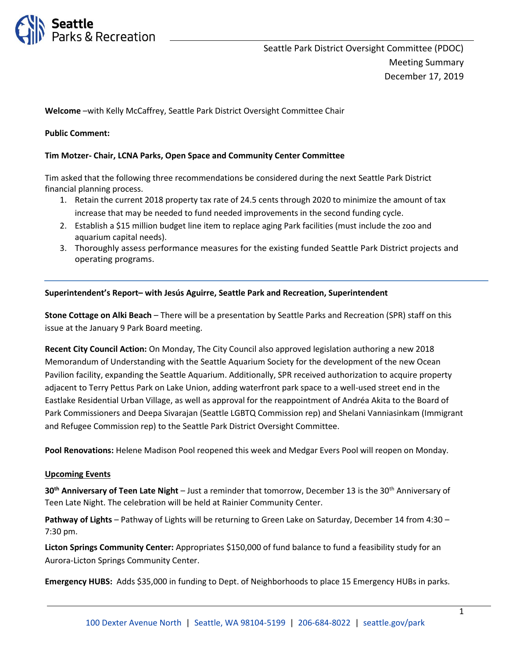

**Welcome** –with Kelly McCaffrey, Seattle Park District Oversight Committee Chair

#### **Public Comment:**

#### **Tim Motzer- Chair, LCNA Parks, Open Space and Community Center Committee**

Tim asked that the following three recommendations be considered during the next Seattle Park District financial planning process.

- 1. Retain the current 2018 property tax rate of 24.5 cents through 2020 to minimize the amount of tax increase that may be needed to fund needed improvements in the second funding cycle.
- 2. Establish a \$15 million budget line item to replace aging Park facilities (must include the zoo and aquarium capital needs).
- 3. Thoroughly assess performance measures for the existing funded Seattle Park District projects and operating programs.

#### **Superintendent's Report– with Jesús Aguirre, Seattle Park and Recreation, Superintendent**

**Stone Cottage on Alki Beach** – There will be a presentation by Seattle Parks and Recreation (SPR) staff on this issue at the January 9 Park Board meeting.

**Recent City Council Action:** On Monday, The City Council also approved legislation authoring a new 2018 Memorandum of Understanding with the Seattle Aquarium Society for the development of the new Ocean Pavilion facility, expanding the Seattle Aquarium. Additionally, SPR received authorization to acquire property adjacent to Terry Pettus Park on Lake Union, adding waterfront park space to a well-used street end in the Eastlake Residential Urban Village, as well as approval for the reappointment of Andréa Akita to the Board of Park Commissioners and Deepa Sivarajan (Seattle LGBTQ Commission rep) and Shelani Vanniasinkam (Immigrant and Refugee Commission rep) to the Seattle Park District Oversight Committee.

**Pool Renovations:** Helene Madison Pool reopened this week and Medgar Evers Pool will reopen on Monday.

#### **Upcoming Events**

**30th Anniversary of Teen Late Night** – Just a reminder that tomorrow, December 13 is the 30th Anniversary of Teen Late Night. The celebration will be held at Rainier Community Center.

**Pathway of Lights** – Pathway of Lights will be returning to Green Lake on Saturday, December 14 from 4:30 – 7:30 pm.

**Licton Springs Community Center:** Appropriates \$150,000 of fund balance to fund a feasibility study for an Aurora-Licton Springs Community Center.

**Emergency HUBS:** Adds \$35,000 in funding to Dept. of Neighborhoods to place 15 Emergency HUBs in parks.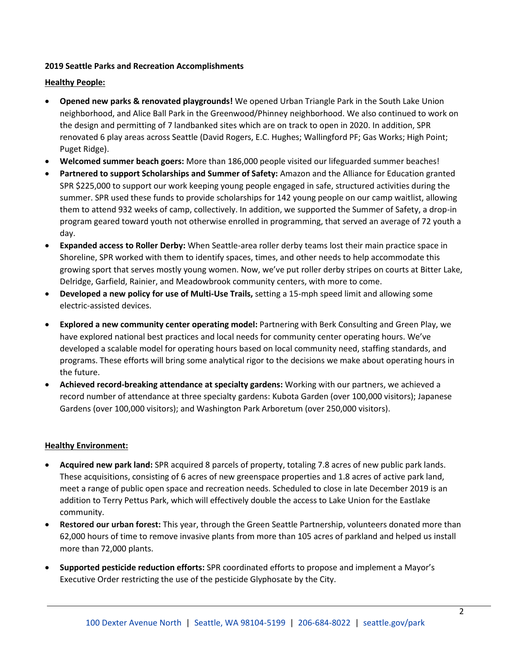# **2019 Seattle Parks and Recreation Accomplishments**

#### **Healthy People:**

- **Opened new parks & renovated playgrounds!** We opened Urban Triangle Park in the South Lake Union neighborhood, and Alice Ball Park in the Greenwood/Phinney neighborhood. We also continued to work on the design and permitting of 7 landbanked sites which are on track to open in 2020. In addition, SPR renovated 6 play areas across Seattle (David Rogers, E.C. Hughes; Wallingford PF; Gas Works; High Point; Puget Ridge).
- **Welcomed summer beach goers:** More than 186,000 people visited our lifeguarded summer beaches!
- **Partnered to support Scholarships and Summer of Safety:** Amazon and the Alliance for Education granted SPR \$225,000 to support our work keeping young people engaged in safe, structured activities during the summer. SPR used these funds to provide scholarships for 142 young people on our camp waitlist, allowing them to attend 932 weeks of camp, collectively. In addition, we supported the Summer of Safety, a drop-in program geared toward youth not otherwise enrolled in programming, that served an average of 72 youth a day.
- **Expanded access to Roller Derby:** When Seattle-area roller derby teams lost their main practice space in Shoreline, SPR worked with them to identify spaces, times, and other needs to help accommodate this growing sport that serves mostly young women. Now, we've put roller derby stripes on courts at Bitter Lake, Delridge, Garfield, Rainier, and Meadowbrook community centers, with more to come.
- **Developed a new policy for use of Multi-Use Trails,** setting a 15-mph speed limit and allowing some electric-assisted devices.
- **Explored a new community center operating model:** Partnering with Berk Consulting and Green Play, we have explored national best practices and local needs for community center operating hours. We've developed a scalable model for operating hours based on local community need, staffing standards, and programs. These efforts will bring some analytical rigor to the decisions we make about operating hours in the future.
- **Achieved record-breaking attendance at specialty gardens:** Working with our partners, we achieved a record number of attendance at three specialty gardens: Kubota Garden (over 100,000 visitors); Japanese Gardens (over 100,000 visitors); and Washington Park Arboretum (over 250,000 visitors).

### **Healthy Environment:**

- **Acquired new park land:** SPR acquired 8 parcels of property, totaling 7.8 acres of new public park lands. These acquisitions, consisting of 6 acres of new greenspace properties and 1.8 acres of active park land, meet a range of public open space and recreation needs. Scheduled to close in late December 2019 is an addition to Terry Pettus Park, which will effectively double the access to Lake Union for the Eastlake community.
- **Restored our urban forest:** This year, through the Green Seattle Partnership, volunteers donated more than 62,000 hours of time to remove invasive plants from more than 105 acres of parkland and helped us install more than 72,000 plants.
- **Supported pesticide reduction efforts:** SPR coordinated efforts to propose and implement a Mayor's Executive Order restricting the use of the pesticide Glyphosate by the City.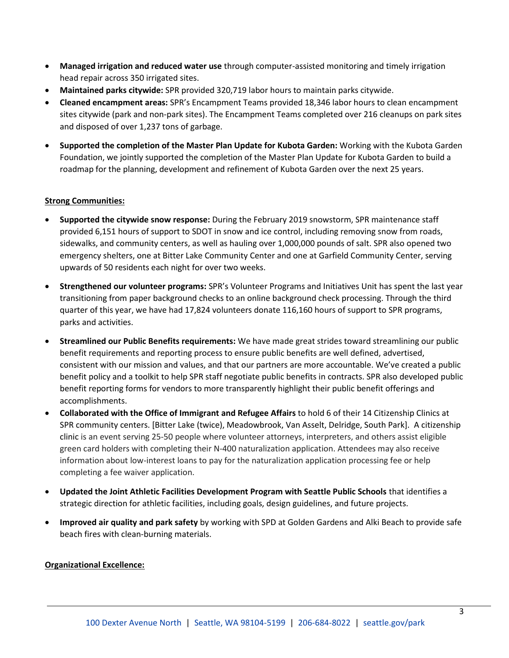- **Managed irrigation and reduced water use** through computer-assisted monitoring and timely irrigation head repair across 350 irrigated sites.
- **Maintained parks citywide:** SPR provided 320,719 labor hours to maintain parks citywide.
- **Cleaned encampment areas:** SPR's Encampment Teams provided 18,346 labor hours to clean encampment sites citywide (park and non-park sites). The Encampment Teams completed over 216 cleanups on park sites and disposed of over 1,237 tons of garbage.
- **Supported the completion of the Master Plan Update for Kubota Garden:** Working with the Kubota Garden Foundation, we jointly supported the completion of the Master Plan Update for Kubota Garden to build a roadmap for the planning, development and refinement of Kubota Garden over the next 25 years.

# **Strong Communities:**

- **Supported the citywide snow response:** During the February 2019 snowstorm, SPR maintenance staff provided 6,151 hours of support to SDOT in snow and ice control, including removing snow from roads, sidewalks, and community centers, as well as hauling over 1,000,000 pounds of salt. SPR also opened two emergency shelters, one at Bitter Lake Community Center and one at Garfield Community Center, serving upwards of 50 residents each night for over two weeks.
- **Strengthened our volunteer programs:** SPR's Volunteer Programs and Initiatives Unit has spent the last year transitioning from paper background checks to an online background check processing. Through the third quarter of this year, we have had 17,824 volunteers donate 116,160 hours of support to SPR programs, parks and activities.
- **Streamlined our Public Benefits requirements:** We have made great strides toward streamlining our public benefit requirements and reporting process to ensure public benefits are well defined, advertised, consistent with our mission and values, and that our partners are more accountable. We've created a public benefit policy and a toolkit to help SPR staff negotiate public benefits in contracts. SPR also developed public benefit reporting forms for vendors to more transparently highlight their public benefit offerings and accomplishments.
- **Collaborated with the Office of Immigrant and Refugee Affairs** to hold 6 of their 14 Citizenship Clinics at SPR community centers. [Bitter Lake (twice), Meadowbrook, Van Asselt, Delridge, South Park]. A citizenship clinic is an event serving 25-50 people where volunteer attorneys, interpreters, and others assist eligible green card holders with completing their N-400 naturalization application. Attendees may also receive information about low-interest loans to pay for the naturalization application processing fee or help completing a fee waiver application.
- **Updated the Joint Athletic Facilities Development Program with Seattle Public Schools** that identifies a strategic direction for athletic facilities, including goals, design guidelines, and future projects.
- **Improved air quality and park safety** by working with SPD at Golden Gardens and Alki Beach to provide safe beach fires with clean-burning materials.

### **Organizational Excellence:**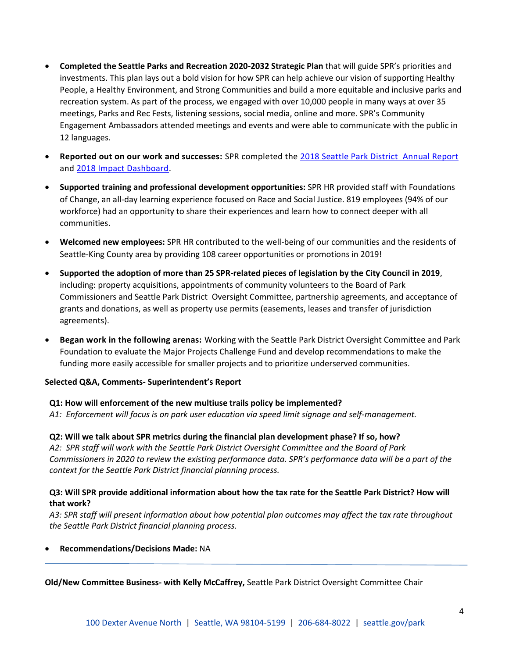- **Completed the Seattle Parks and Recreation 2020-2032 Strategic Plan** that will guide SPR's priorities and investments. This plan lays out a bold vision for how SPR can help achieve our vision of supporting Healthy People, a Healthy Environment, and Strong Communities and build a more equitable and inclusive parks and recreation system. As part of the process, we engaged with over 10,000 people in many ways at over 35 meetings, Parks and Rec Fests, listening sessions, social media, online and more. SPR's Community Engagement Ambassadors attended meetings and events and were able to communicate with the public in 12 languages.
- **Reported out on our work and successes:** SPR completed the [2018 Seattle Park District Annual Report](https://www.seattle.gov/Documents/Departments/ParkDistrict/Projects/2018_Park_District_Annual_Report.pdf) and [2018 Impact Dashboard.](https://parkways.seattle.gov/2019/06/17/impact-dashboard-2018/)
- **Supported training and professional development opportunities:** SPR HR provided staff with Foundations of Change, an all-day learning experience focused on Race and Social Justice. 819 employees (94% of our workforce) had an opportunity to share their experiences and learn how to connect deeper with all communities.
- **Welcomed new employees:** SPR HR contributed to the well-being of our communities and the residents of Seattle-King County area by providing 108 career opportunities or promotions in 2019!
- **Supported the adoption of more than 25 SPR-related pieces of legislation by the City Council in 2019**, including: property acquisitions, appointments of community volunteers to the Board of Park Commissioners and Seattle Park District Oversight Committee, partnership agreements, and acceptance of grants and donations, as well as property use permits (easements, leases and transfer of jurisdiction agreements).
- **Began work in the following arenas:** Working with the Seattle Park District Oversight Committee and Park Foundation to evaluate the Major Projects Challenge Fund and develop recommendations to make the funding more easily accessible for smaller projects and to prioritize underserved communities.

# **Selected Q&A, Comments- Superintendent's Report**

### **Q1: How will enforcement of the new multiuse trails policy be implemented?**

*A1: Enforcement will focus is on park user education via speed limit signage and self-management.* 

**Q2: Will we talk about SPR metrics during the financial plan development phase? If so, how?**

*A2: SPR staff will work with the Seattle Park District Oversight Committee and the Board of Park Commissioners in 2020 to review the existing performance data. SPR's performance data will be a part of the context for the Seattle Park District financial planning process.*

# **Q3: Will SPR provide additional information about how the tax rate for the Seattle Park District? How will that work?**

A3: SPR staff will present information about how potential plan outcomes may affect the tax rate throughout *the Seattle Park District financial planning process.* 

### • **Recommendations/Decisions Made:** NA

**Old/New Committee Business- with Kelly McCaffrey,** Seattle Park District Oversight Committee Chair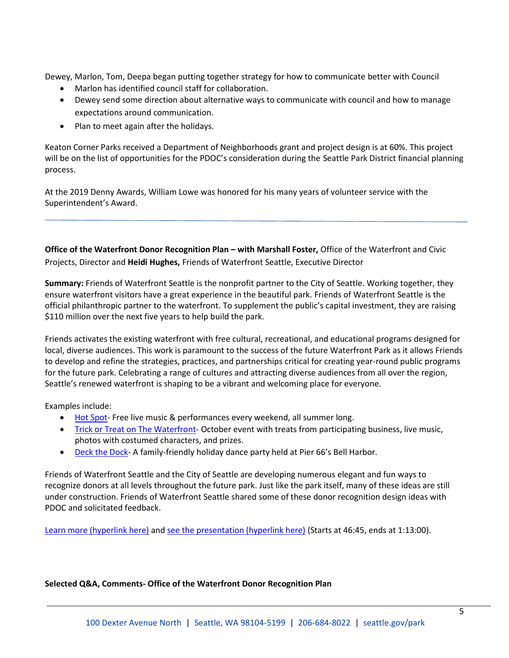Dewey, Marlon, Tom, Deepa began putting together strategy for how to communicate better with Council

- Marlon has identified council staff for collaboration.
- Dewey send some direction about alternative ways to communicate with council and how to manage expectations around communication.
- Plan to meet again after the holidays.

Keaton Corner Parks received a Department of Neighborhoods grant and project design is at 60%. This project will be on the list of opportunities for the PDOC's consideration during the Seattle Park District financial planning process.

At the 2019 Denny Awards, William Lowe was honored for his many years of volunteer service with the Superintendent's Award.

**Office of the Waterfront Donor Recognition Plan – with Marshall Foster,** Office of the Waterfront and Civic Projects, Director and **Heidi Hughes,** Friends of Waterfront Seattle, Executive Director

**Summary:** Friends of Waterfront Seattle is the nonprofit partner to the City of Seattle. Working together, they ensure waterfront visitors have a great experience in the beautiful park. Friends of Waterfront Seattle is the official philanthropic partner to the waterfront. To supplement the public's capital investment, they are raising \$110 million over the next five years to help build the park.

Friends activates the existing waterfront with free cultural, recreational, and educational programs designed for local, diverse audiences. This work is paramount to the success of the future Waterfront Park as it allows Friends to develop and refine the strategies, practices, and partnerships critical for creating year-round public programs for the future park. Celebrating a range of cultures and attracting diverse audiences from all over the region, Seattle's renewed waterfront is shaping to be a vibrant and welcoming place for everyone.

Examples include:

- [Hot Spot-](https://www.friendsofwaterfrontseattle.org/hot-spot/) Free live music & performances every weekend, all summer long.
- [Trick or Treat on The Waterfront-](https://www.friendsofwaterfrontseattle.org/trick-or-treat/) October event with treats from participating business, live music, photos with costumed characters, and prizes.
- [Deck the Dock-](https://www.friendsofwaterfrontseattle.org/deck-the-dock/) A family-friendly holiday dance party held at Pier 66's Bell Harbor.

Friends of Waterfront Seattle and the City of Seattle are developing numerous elegant and fun ways to recognize donors at all levels throughout the future park. Just like the park itself, many of these ideas are still under construction. Friends of Waterfront Seattle shared some of these donor recognition design ideas with PDOC and solicitated feedback.

[Learn more \(hyperlink here\)](https://www.friendsofwaterfrontseattle.org/coming_soon/) and [see the presentation \(hyperlink here\)](http://www.seattlechannel.org/parksBoard?videoid=x109684) (Starts at 46:45, ends at 1:13:00).

### **Selected Q&A, Comments- Office of the Waterfront Donor Recognition Plan**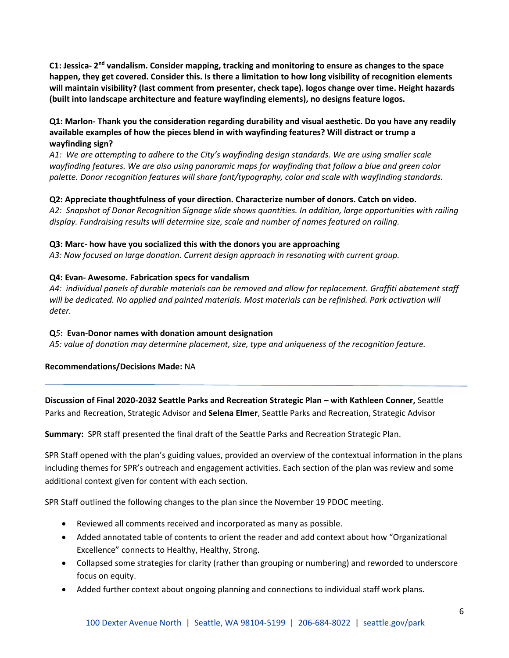C1: Jessica- 2<sup>nd</sup> vandalism. Consider mapping, tracking and monitoring to ensure as changes to the space **happen, they get covered. Consider this. Is there a limitation to how long visibility of recognition elements will maintain visibility? (last comment from presenter, check tape). logos change over time. Height hazards (built into landscape architecture and feature wayfinding elements), no designs feature logos.** 

# **Q1: Marlon- Thank you the consideration regarding durability and visual aesthetic. Do you have any readily available examples of how the pieces blend in with wayfinding features? Will distract or trump a wayfinding sign?**

*A1: We are attempting to adhere to the City's wayfinding design standards. We are using smaller scale wayfinding features. We are also using panoramic maps for wayfinding that follow a blue and green color palette. Donor recognition features will share font/typography, color and scale with wayfinding standards.* 

# **Q2: Appreciate thoughtfulness of your direction. Characterize number of donors. Catch on video.**

*A2: Snapshot of Donor Recognition Signage slide shows quantities. In addition, large opportunities with railing display. Fundraising results will determine size, scale and number of names featured on railing.* 

### **Q3: Marc- how have you socialized this with the donors you are approaching**

*A3: Now focused on large donation. Current design approach in resonating with current group.* 

# **Q4: Evan- Awesome. Fabrication specs for vandalism**

*A4: individual panels of durable materials can be removed and allow for replacement. Graffiti abatement staff will be dedicated. No applied and painted materials. Most materials can be refinished. Park activation will deter.*

# **Q***5***: Evan-Donor names with donation amount designation**

*A5: value of donation may determine placement, size, type and uniqueness of the recognition feature.* 

### **Recommendations/Decisions Made:** NA

**Discussion of Final 2020-2032 Seattle Parks and Recreation Strategic Plan – with Kathleen Conner,** Seattle Parks and Recreation, Strategic Advisor and **Selena Elmer**, Seattle Parks and Recreation, Strategic Advisor

**Summary:** SPR staff presented the final draft of the Seattle Parks and Recreation Strategic Plan.

SPR Staff opened with the plan's guiding values, provided an overview of the contextual information in the plans including themes for SPR's outreach and engagement activities. Each section of the plan was review and some additional context given for content with each section.

SPR Staff outlined the following changes to the plan since the November 19 PDOC meeting.

- Reviewed all comments received and incorporated as many as possible.
- Added annotated table of contents to orient the reader and add context about how "Organizational Excellence" connects to Healthy, Healthy, Strong.
- Collapsed some strategies for clarity (rather than grouping or numbering) and reworded to underscore focus on equity.
- Added further context about ongoing planning and connections to individual staff work plans.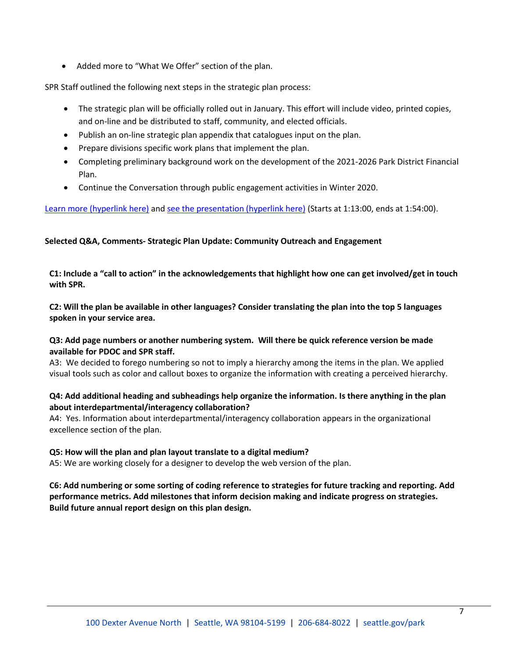• Added more to "What We Offer" section of the plan.

SPR Staff outlined the following next steps in the strategic plan process:

- The strategic plan will be officially rolled out in January. This effort will include video, printed copies, and on-line and be distributed to staff, community, and elected officials.
- Publish an on-line strategic plan appendix that catalogues input on the plan.
- Prepare divisions specific work plans that implement the plan.
- Completing preliminary background work on the development of the 2021-2026 Park District Financial Plan.
- Continue the Conversation through public engagement activities in Winter 2020.

[Learn more \(hyperlink here\)](http://www.seattle.gov/Documents/Departments/ParksAndRecreation/PDOC/Agendas/SPRStrategicPlan.v3.pdf) and [see the presentation \(hyperlink here\)](http://www.seattlechannel.org/parksBoard/?videoid=x108053&jwsource=cl) (Starts at 1:13:00, ends at 1:54:00).

# **Selected Q&A, Comments- Strategic Plan Update: Community Outreach and Engagement**

**C1: Include a "call to action" in the acknowledgements that highlight how one can get involved/get in touch with SPR.** 

**C2: Will the plan be available in other languages? Consider translating the plan into the top 5 languages spoken in your service area.** 

### **Q3: Add page numbers or another numbering system. Will there be quick reference version be made available for PDOC and SPR staff.**

A3: We decided to forego numbering so not to imply a hierarchy among the items in the plan. We applied visual tools such as color and callout boxes to organize the information with creating a perceived hierarchy.

# **Q4: Add additional heading and subheadings help organize the information. Is there anything in the plan about interdepartmental/interagency collaboration?**

A4: Yes. Information about interdepartmental/interagency collaboration appears in the organizational excellence section of the plan.

### **Q5: How will the plan and plan layout translate to a digital medium?**

A5: We are working closely for a designer to develop the web version of the plan.

**C6: Add numbering or some sorting of coding reference to strategies for future tracking and reporting. Add performance metrics. Add milestones that inform decision making and indicate progress on strategies. Build future annual report design on this plan design.**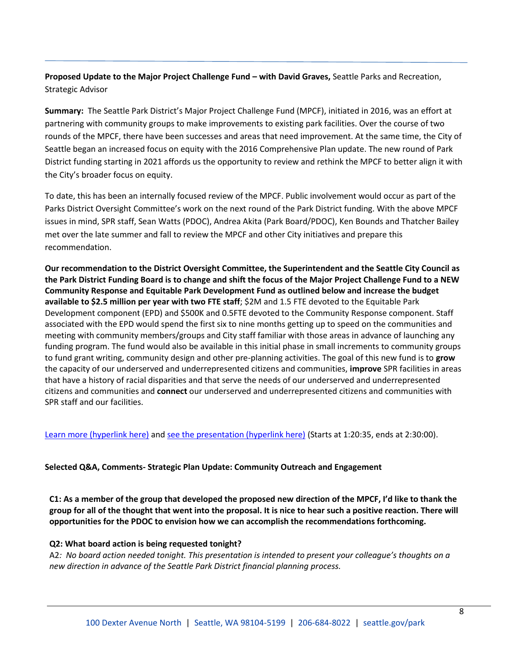# **Proposed Update to the Major Project Challenge Fund – with David Graves,** Seattle Parks and Recreation, Strategic Advisor

**Summary:** The Seattle Park District's Major Project Challenge Fund (MPCF), initiated in 2016, was an effort at partnering with community groups to make improvements to existing park facilities. Over the course of two rounds of the MPCF, there have been successes and areas that need improvement. At the same time, the City of Seattle began an increased focus on equity with the 2016 Comprehensive Plan update. The new round of Park District funding starting in 2021 affords us the opportunity to review and rethink the MPCF to better align it with the City's broader focus on equity.

To date, this has been an internally focused review of the MPCF. Public involvement would occur as part of the Parks District Oversight Committee's work on the next round of the Park District funding. With the above MPCF issues in mind, SPR staff, Sean Watts (PDOC), Andrea Akita (Park Board/PDOC), Ken Bounds and Thatcher Bailey met over the late summer and fall to review the MPCF and other City initiatives and prepare this recommendation.

**Our recommendation to the District Oversight Committee, the Superintendent and the Seattle City Council as the Park District Funding Board is to change and shift the focus of the Major Project Challenge Fund to a NEW Community Response and Equitable Park Development Fund as outlined below and increase the budget available to \$2.5 million per year with two FTE staff**; \$2M and 1.5 FTE devoted to the Equitable Park Development component (EPD) and \$500K and 0.5FTE devoted to the Community Response component. Staff associated with the EPD would spend the first six to nine months getting up to speed on the communities and meeting with community members/groups and City staff familiar with those areas in advance of launching any funding program. The fund would also be available in this initial phase in small increments to community groups to fund grant writing, community design and other pre-planning activities. The goal of this new fund is to **grow** the capacity of our underserved and underrepresented citizens and communities, **improve** SPR facilities in areas that have a history of racial disparities and that serve the needs of our underserved and underrepresented citizens and communities and **connect** our underserved and underrepresented citizens and communities with SPR staff and our facilities.

[Learn more \(hyperlink here\)](https://www.seattle.gov/seattle-park-district/projects/building-for-the-future) and [see the presentation \(hyperlink here\)](http://www.seattlechannel.org/parksBoard/?videoid=x108053&jwsource=cl) (Starts at 1:20:35, ends at 2:30:00).

### **Selected Q&A, Comments- Strategic Plan Update: Community Outreach and Engagement**

**C1: As a member of the group that developed the proposed new direction of the MPCF, I'd like to thank the group for all of the thought that went into the proposal. It is nice to hear such a positive reaction. There will opportunities for the PDOC to envision how we can accomplish the recommendations forthcoming.** 

#### **Q2: What board action is being requested tonight?**

A2*: No board action needed tonight. This presentation is intended to present your colleague's thoughts on a new direction in advance of the Seattle Park District financial planning process.*